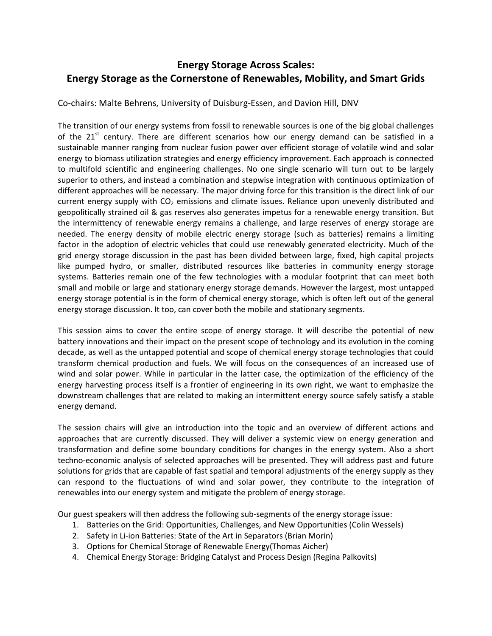## **Energy Storage Across Scales: Energy Storage as the Cornerstone of Renewables, Mobility, and Smart Grids**

Co-chairs: Malte Behrens, University of Duisburg-Essen, and Davion Hill, DNV

The transition of our energy systems from fossil to renewable sources is one of the big global challenges of the  $21^{st}$  century. There are different scenarios how our energy demand can be satisfied in a sustainable manner ranging from nuclear fusion power over efficient storage of volatile wind and solar energy to biomass utilization strategies and energy efficiency improvement. Each approach is connected to multifold scientific and engineering challenges. No one single scenario will turn out to be largely superior to others, and instead a combination and stepwise integration with continuous optimization of different approaches will be necessary. The major driving force for this transition is the direct link of our current energy supply with  $CO<sub>2</sub>$  emissions and climate issues. Reliance upon unevenly distributed and geopolitically strained oil & gas reserves also generates impetus for a renewable energy transition. But the intermittency of renewable energy remains a challenge, and large reserves of energy storage are needed. The energy density of mobile electric energy storage (such as batteries) remains a limiting factor in the adoption of electric vehicles that could use renewably generated electricity. Much of the grid energy storage discussion in the past has been divided between large, fixed, high capital projects like pumped hydro, or smaller, distributed resources like batteries in community energy storage systems. Batteries remain one of the few technologies with a modular footprint that can meet both small and mobile or large and stationary energy storage demands. However the largest, most untapped energy storage potential is in the form of chemical energy storage, which is often left out of the general energy storage discussion. It too, can cover both the mobile and stationary segments.

This session aims to cover the entire scope of energy storage. It will describe the potential of new battery innovations and their impact on the present scope of technology and its evolution in the coming decade, as well as the untapped potential and scope of chemical energy storage technologies that could transform chemical production and fuels. We will focus on the consequences of an increased use of wind and solar power. While in particular in the latter case, the optimization of the efficiency of the energy harvesting process itself is a frontier of engineering in its own right, we want to emphasize the downstream challenges that are related to making an intermittent energy source safely satisfy a stable energy demand.

The session chairs will give an introduction into the topic and an overview of different actions and approaches that are currently discussed. They will deliver a systemic view on energy generation and transformation and define some boundary conditions for changes in the energy system. Also a short techno-economic analysis of selected approaches will be presented. They will address past and future solutions for grids that are capable of fast spatial and temporal adjustments of the energy supply as they can respond to the fluctuations of wind and solar power, they contribute to the integration of renewables into our energy system and mitigate the problem of energy storage.

Our guest speakers will then address the following sub-segments of the energy storage issue:

- 1. Batteries on the Grid: Opportunities, Challenges, and New Opportunities (Colin Wessels)
- 2. Safety in Li-ion Batteries: State of the Art in Separators (Brian Morin)
- 3. Options for Chemical Storage of Renewable Energy(Thomas Aicher)
- 4. Chemical Energy Storage: Bridging Catalyst and Process Design (Regina Palkovits)